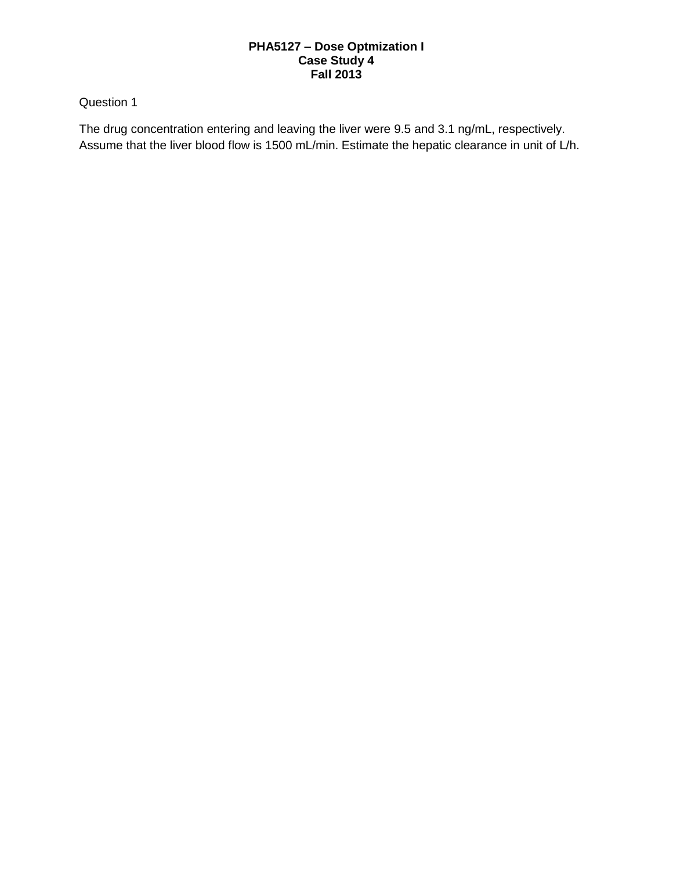# **PHA5127 – Dose Optmization I Case Study 4 Fall 2013**

# Question 1

The drug concentration entering and leaving the liver were 9.5 and 3.1 ng/mL, respectively. Assume that the liver blood flow is 1500 mL/min. Estimate the hepatic clearance in unit of L/h.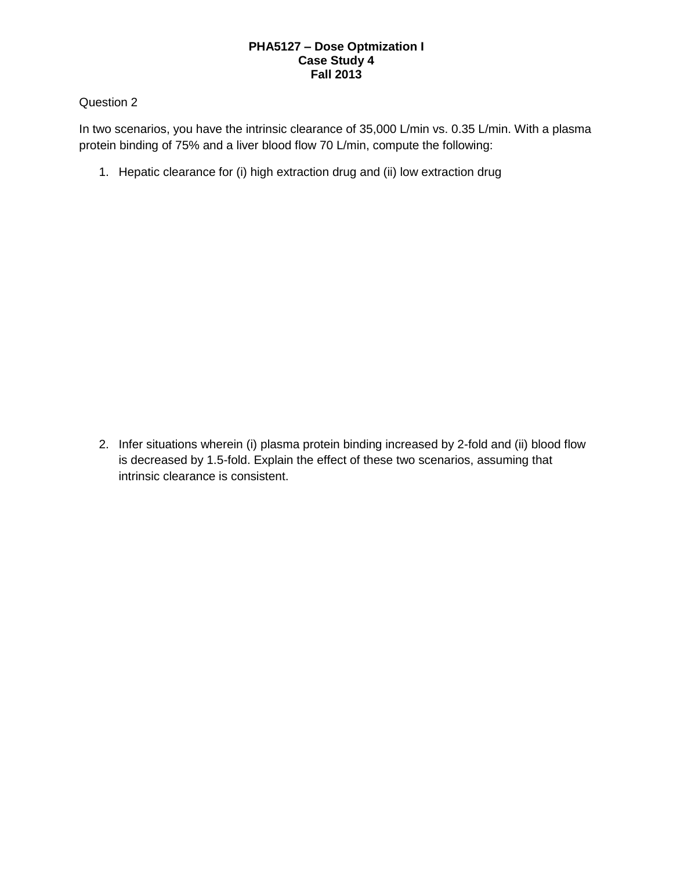# **PHA5127 – Dose Optmization I Case Study 4 Fall 2013**

# Question 2

In two scenarios, you have the intrinsic clearance of 35,000 L/min vs. 0.35 L/min. With a plasma protein binding of 75% and a liver blood flow 70 L/min, compute the following:

1. Hepatic clearance for (i) high extraction drug and (ii) low extraction drug

2. Infer situations wherein (i) plasma protein binding increased by 2-fold and (ii) blood flow is decreased by 1.5-fold. Explain the effect of these two scenarios, assuming that intrinsic clearance is consistent.